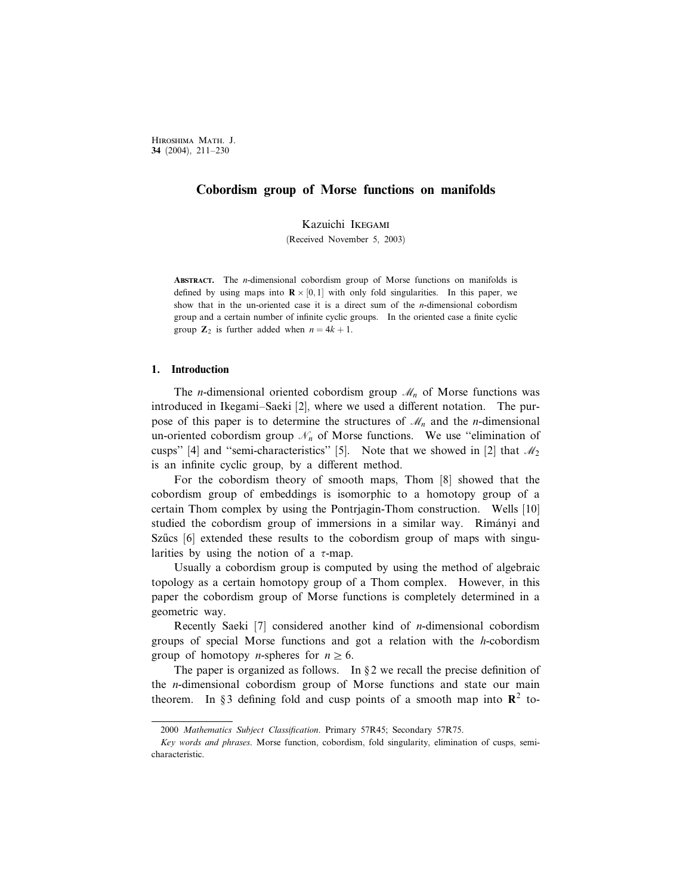# Cobordism group of Morse functions on manifolds

Kazuichi Ikegami

(Received November 5, 2003)

ABSTRACT. The *n*-dimensional cobordism group of Morse functions on manifolds is defined by using maps into  $\mathbb{R} \times [0, 1]$  with only fold singularities. In this paper, we show that in the un-oriented case it is a direct sum of the *n*-dimensional cobordism group and a certain number of infinite cyclic groups. In the oriented case a finite cyclic group  $\mathbb{Z}_2$  is further added when  $n = 4k + 1$ .

#### 1. Introduction

The *n*-dimensional oriented cobordism group  $\mathcal{M}_n$  of Morse functions was introduced in Ikegami–Saeki [2], where we used a different notation. The purpose of this paper is to determine the structures of  $\mathcal{M}_n$  and the *n*-dimensional un-oriented cobordism group  $\mathcal{N}_n$  of Morse functions. We use "elimination of cusps" [4] and "semi-characteristics" [5]. Note that we showed in [2] that  $\mathcal{M}_2$ is an infinite cyclic group, by a different method.

For the cobordism theory of smooth maps, Thom [8] showed that the cobordism group of embeddings is isomorphic to a homotopy group of a certain Thom complex by using the Pontrjagin-Thom construction. Wells [10] studied the cobordism group of immersions in a similar way. Rimányi and Szücs  $[6]$  extended these results to the cobordism group of maps with singularities by using the notion of a  $\tau$ -map.

Usually a cobordism group is computed by using the method of algebraic topology as a certain homotopy group of a Thom complex. However, in this paper the cobordism group of Morse functions is completely determined in a geometric way.

Recently Saeki  $[7]$  considered another kind of *n*-dimensional cobordism groups of special Morse functions and got a relation with the h-cobordism group of homotopy *n*-spheres for  $n \ge 6$ .

The paper is organized as follows. In  $\S 2$  we recall the precise definition of the n-dimensional cobordism group of Morse functions and state our main theorem. In §3 defining fold and cusp points of a smooth map into  $\mathbb{R}^2$  to-

<sup>2000</sup> Mathematics Subject Classification. Primary 57R45; Secondary 57R75.

Key words and phrases. Morse function, cobordism, fold singularity, elimination of cusps, semicharacteristic.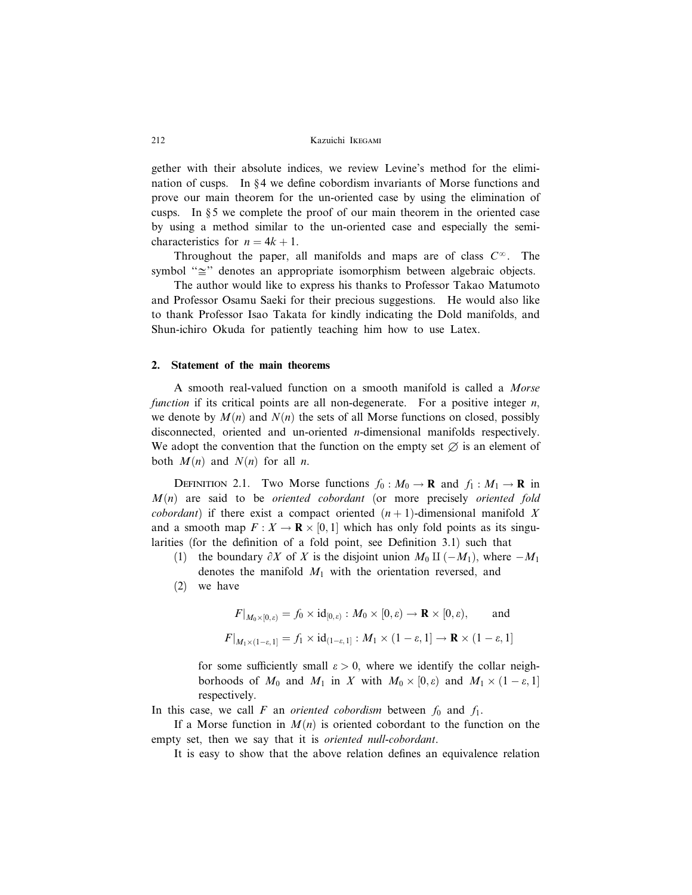gether with their absolute indices, we review Levine's method for the elimination of cusps. In §4 we define cobordism invariants of Morse functions and prove our main theorem for the un-oriented case by using the elimination of cusps. In  $\S 5$  we complete the proof of our main theorem in the oriented case by using a method similar to the un-oriented case and especially the semicharacteristics for  $n = 4k + 1$ .

Throughout the paper, all manifolds and maps are of class  $C^{\infty}$ . The symbol " $\cong$ " denotes an appropriate isomorphism between algebraic objects.

The author would like to express his thanks to Professor Takao Matumoto and Professor Osamu Saeki for their precious suggestions. He would also like to thank Professor Isao Takata for kindly indicating the Dold manifolds, and Shun-ichiro Okuda for patiently teaching him how to use Latex.

# 2. Statement of the main theorems

A smooth real-valued function on a smooth manifold is called a Morse function if its critical points are all non-degenerate. For a positive integer  $n$ , we denote by  $M(n)$  and  $N(n)$  the sets of all Morse functions on closed, possibly disconnected, oriented and un-oriented n-dimensional manifolds respectively. We adopt the convention that the function on the empty set  $\varnothing$  is an element of both  $M(n)$  and  $N(n)$  for all *n*.

DEFINITION 2.1. Two Morse functions  $f_0 : M_0 \to \mathbf{R}$  and  $f_1 : M_1 \to \mathbf{R}$  in  $M(n)$  are said to be *oriented cobordant* (or more precisely *oriented fold cobordant*) if there exist a compact oriented  $(n + 1)$ -dimensional manifold X and a smooth map  $F: X \to \mathbf{R} \times [0,1]$  which has only fold points as its singularities (for the definition of a fold point, see Definition 3.1) such that

- (1) the boundary  $\partial X$  of X is the disjoint union  $M_0 \amalg (-M_1)$ , where  $-M_1$ denotes the manifold  $M_1$  with the orientation reversed, and
- (2) we have

$$
F|_{M_0 \times [0,\varepsilon)} = f_0 \times \mathrm{id}_{[0,\varepsilon)} : M_0 \times [0,\varepsilon) \to \mathbf{R} \times [0,\varepsilon), \quad \text{and}
$$
  

$$
F|_{M_1 \times (1-\varepsilon,1]} = f_1 \times \mathrm{id}_{(1-\varepsilon,1]} : M_1 \times (1-\varepsilon,1] \to \mathbf{R} \times (1-\varepsilon,1]
$$

for some sufficiently small  $\varepsilon > 0$ , where we identify the collar neighborhoods of  $M_0$  and  $M_1$  in X with  $M_0 \times [0, \varepsilon)$  and  $M_1 \times (1 - \varepsilon, 1]$ respectively.

In this case, we call F an *oriented cobordism* between  $f_0$  and  $f_1$ .

If a Morse function in  $M(n)$  is oriented cobordant to the function on the empty set, then we say that it is *oriented null-cobordant*.

It is easy to show that the above relation defines an equivalence relation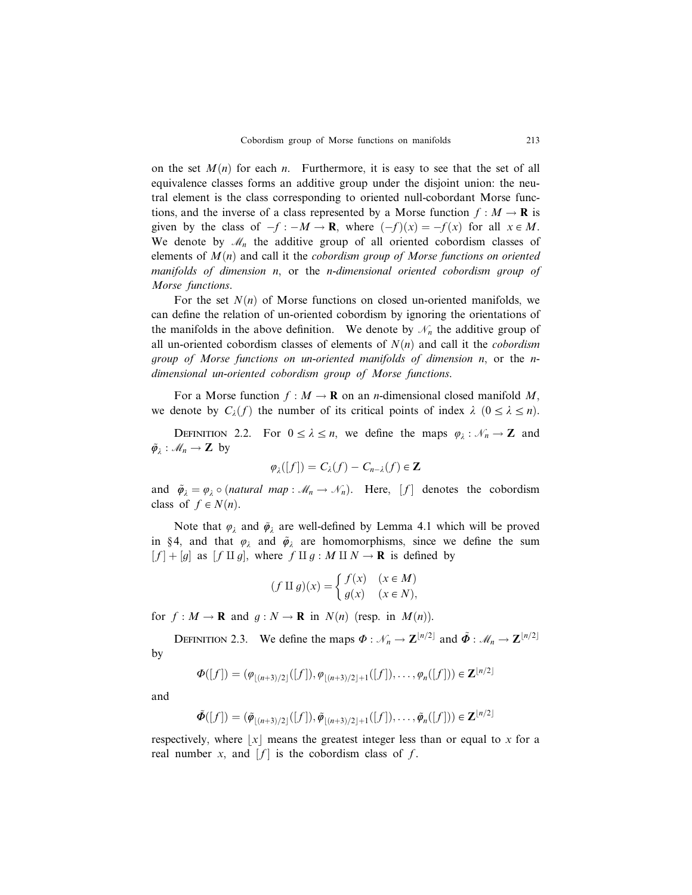on the set  $M(n)$  for each n. Furthermore, it is easy to see that the set of all equivalence classes forms an additive group under the disjoint union: the neutral element is the class corresponding to oriented null-cobordant Morse functions, and the inverse of a class represented by a Morse function  $f : M \to \mathbf{R}$  is given by the class of  $-f : -M \to \mathbf{R}$ , where  $(-f)(x) = -f(x)$  for all  $x \in M$ . We denote by  $\mathcal{M}_n$  the additive group of all oriented cobordism classes of elements of  $M(n)$  and call it the *cobordism group of Morse functions on oriented* manifolds of dimension n, or the n-dimensional oriented cobordism group of Morse functions.

For the set  $N(n)$  of Morse functions on closed un-oriented manifolds, we can define the relation of un-oriented cobordism by ignoring the orientations of the manifolds in the above definition. We denote by  $\mathcal{N}_n$  the additive group of all un-oriented cobordism classes of elements of  $N(n)$  and call it the *cobordism* group of Morse functions on un-oriented manifolds of dimension n, or the ndimensional un-oriented cobordism group of Morse functions.

For a Morse function  $f : M \to \mathbf{R}$  on an *n*-dimensional closed manifold M, we denote by  $C_{\lambda}(f)$  the number of its critical points of index  $\lambda$   $(0 \leq \lambda \leq n)$ .

DEFINITION 2.2. For  $0 \le \lambda \le n$ , we define the maps  $\varphi_{\lambda} : \mathcal{N}_n \to \mathbb{Z}$  and  $\tilde{\varphi}_\lambda : \mathcal{M}_n \to \mathbb{Z}$  by

$$
\varphi_{\lambda}([f])=C_{\lambda}(f)-C_{n-\lambda}(f)\in \mathbf{Z}
$$

and  $\tilde{\varphi}_{\lambda} = \varphi_{\lambda} \circ (natural \; map : \mathcal{M}_n \to \mathcal{N}_n)$ . Here,  $[f]$  denotes the cobordism class of  $f \in N(n)$ .

Note that  $\varphi_{\lambda}$  and  $\tilde{\varphi}_{\lambda}$  are well-defined by Lemma 4.1 which will be proved in §4, and that  $\varphi_{\lambda}$  and  $\tilde{\varphi}_{\lambda}$  are homomorphisms, since we define the sum  $[f] + [g]$  as  $[f \amalg g]$ , where  $f \amalg g : M \amalg N \to \mathbf{R}$  is defined by

$$
(f \amalg g)(x) = \begin{cases} f(x) & (x \in M) \\ g(x) & (x \in N), \end{cases}
$$

for  $f : M \to \mathbf{R}$  and  $q : N \to \mathbf{R}$  in  $N(n)$  (resp. in  $M(n)$ ).

DEFINITION 2.3. We define the maps  $\Phi : \mathcal{N}_n \to \mathbb{Z}^{\lfloor n/2 \rfloor}$  and  $\tilde{\Phi} : \mathcal{M}_n \to \mathbb{Z}^{\lfloor n/2 \rfloor}$ by

$$
\Phi([f]) = (\varphi_{\lfloor (n+3)/2 \rfloor}([f]), \varphi_{\lfloor (n+3)/2 \rfloor + 1}([f]), \ldots, \varphi_n([f])) \in \mathbf{Z}^{\lfloor n/2 \rfloor}
$$

and

$$
\tilde{\Phi}([f]) = (\tilde{\varphi}_{\lfloor (n+3)/2 \rfloor}([f]), \tilde{\varphi}_{\lfloor (n+3)/2 \rfloor +1}([f]), \ldots, \tilde{\varphi}_n([f])) \in \mathbb{Z}^{\lfloor n/2 \rfloor}
$$

respectively, where  $|x|$  means the greatest integer less than or equal to x for a real number x, and  $[f]$  is the cobordism class of f.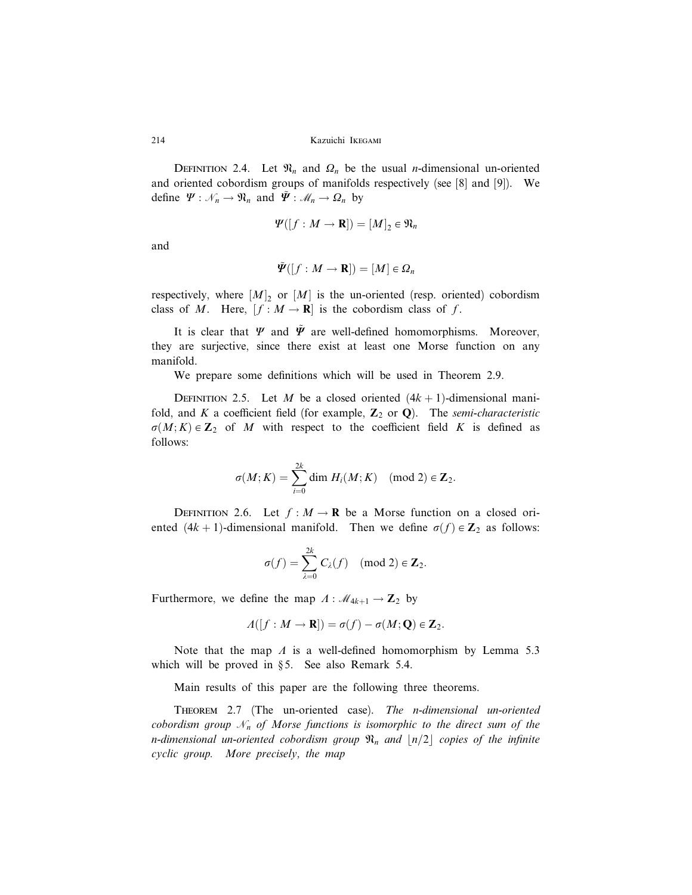DEFINITION 2.4. Let  $\mathfrak{N}_n$  and  $\Omega_n$  be the usual *n*-dimensional un-oriented and oriented cobordism groups of manifolds respectively (see [8] and [9]). We define  $\Psi : \mathcal{N}_n \to \mathfrak{N}_n$  and  $\tilde{\Psi} : \mathcal{M}_n \to \Omega_n$  by

$$
\Psi([f:M\to\mathbf{R}])=[M]_2\in\mathfrak{N}_n
$$

and

$$
\tilde{\mathbf{\Psi}}([f:M\rightarrow\mathbf{R}])=[M]\in\mathbf{\Omega}_n
$$

respectively, where  $[M]_2$  or  $[M]$  is the un-oriented (resp. oriented) cobordism class of M. Here,  $[f : M \to \mathbf{R}]$  is the cobordism class of f.

It is clear that  $\Psi$  and  $\tilde{\Psi}$  are well-defined homomorphisms. Moreover, they are surjective, since there exist at least one Morse function on any manifold.

We prepare some definitions which will be used in Theorem 2.9.

DEFINITION 2.5. Let M be a closed oriented  $(4k + 1)$ -dimensional manifold, and K a coefficient field (for example,  $\mathbb{Z}_2$  or  $\mathbb{Q}$ ). The semi-characteristic  $\sigma(M; K) \in \mathbb{Z}_2$  of M with respect to the coefficient field K is defined as follows:

$$
\sigma(M;K) = \sum_{i=0}^{2k} \dim H_i(M;K) \pmod{2} \in \mathbf{Z}_2.
$$

DEFINITION 2.6. Let  $f : M \to \mathbb{R}$  be a Morse function on a closed oriented  $(4k + 1)$ -dimensional manifold. Then we define  $\sigma(f) \in \mathbb{Z}_2$  as follows:

$$
\sigma(f) = \sum_{\lambda=0}^{2k} C_{\lambda}(f) \pmod{2} \in \mathbf{Z}_2.
$$

Furthermore, we define the map  $\Lambda : \mathcal{M}_{4k+1} \to \mathbb{Z}_2$  by

$$
\Lambda([f:M\to\mathbf{R}])=\sigma(f)-\sigma(M;\mathbf{Q})\in\mathbf{Z}_2.
$$

Note that the map  $\Lambda$  is a well-defined homomorphism by Lemma 5.3 which will be proved in  $\S 5$ . See also Remark 5.4.

Main results of this paper are the following three theorems.

THEOREM 2.7 (The un-oriented case). The n-dimensional un-oriented cobordism group  $\mathcal{N}_n$  of Morse functions is isomorphic to the direct sum of the n-dimensional un-oriented cobordism group  $\mathfrak{N}_n$  and  $\lfloor n/2 \rfloor$  copies of the infinite cyclic group. More precisely, the map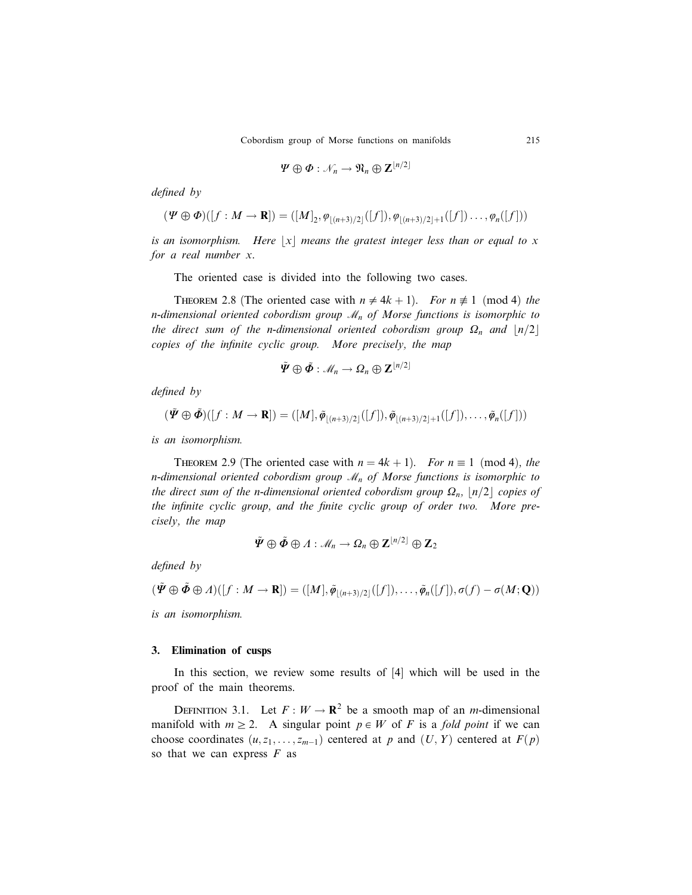$$
\varPsi \oplus \varPhi : \mathscr{N}_n \to \mathfrak{N}_n \oplus \mathbf{Z}^{\lfloor n/2 \rfloor}
$$

defined by

$$
(\Psi \oplus \Phi)([f : M \to \mathbf{R}]) = ([M]_2, \varphi_{|(n+3)/2]}([f]), \varphi_{|(n+3)/2|+1}([f]) \dots, \varphi_n([f]))
$$

is an isomorphism. Here  $|x|$  means the gratest integer less than or equal to x for a real number x.

The oriented case is divided into the following two cases.

THEOREM 2.8 (The oriented case with  $n \neq 4k + 1$ ). For  $n \not\equiv 1 \pmod{4}$  the n-dimensional oriented cobordism group  $\mathcal{M}_n$  of Morse functions is isomorphic to the direct sum of the n-dimensional oriented cobordism group  $\Omega_n$  and  $\lfloor n/2 \rfloor$ copies of the infinite cyclic group. More precisely, the map

$$
\tilde{\bm{\varPsi}}\oplus\tilde{\bm{\varPhi}}:\mathscr{M}_n\to\Omega_n\oplus\mathbf{Z}^{\lfloor n/2\rfloor}
$$

defined by

$$
(\tilde{\mathbf{\Psi}} \oplus \tilde{\mathbf{\Phi}})([f : M \to \mathbf{R}]) = ([M], \tilde{\mathbf{\varphi}}_{\lfloor (n+3)/2 \rfloor}([f]), \tilde{\mathbf{\varphi}}_{\lfloor (n+3)/2 \rfloor + 1}([f]), \ldots, \tilde{\mathbf{\varphi}}_n([f]))
$$

is an isomorphism.

THEOREM 2.9 (The oriented case with  $n = 4k + 1$ ). For  $n \equiv 1 \pmod{4}$ , the n-dimensional oriented cobordism group  $\mathcal{M}_n$  of Morse functions is isomorphic to the direct sum of the n-dimensional oriented cobordism group  $\Omega_n$ ,  $\lfloor n/2 \rfloor$  copies of the infinite cyclic group, and the finite cyclic group of order two. More precisely, the map

$$
\tilde{\mathbf{\Psi}} \oplus \tilde{\mathbf{\Phi}} \oplus \Lambda : \mathcal{M}_n \to \Omega_n \oplus \mathbf{Z}^{\lfloor n/2 \rfloor} \oplus \mathbf{Z}_2
$$

defined by

$$
(\tilde{\mathbf{\Psi}} \oplus \tilde{\mathbf{\Phi}} \oplus \varLambda)([f:M \to \mathbf{R}]) = ([M], \tilde{\mathbf{\varphi}}_{\lfloor (n+3)/2 \rfloor}([f]), \ldots, \tilde{\mathbf{\varphi}}_n([f]), \sigma(f) - \sigma(M; \mathbf{Q}))
$$

is an isomorphism.

#### 3. Elimination of cusps

In this section, we review some results of [4] which will be used in the proof of the main theorems.

DEFINITION 3.1. Let  $F: W \to \mathbb{R}^2$  be a smooth map of an *m*-dimensional manifold with  $m \geq 2$ . A singular point  $p \in W$  of F is a fold point if we can choose coordinates  $(u, z_1, \ldots, z_{m-1})$  centered at p and  $(U, Y)$  centered at  $F(p)$ so that we can express  $F$  as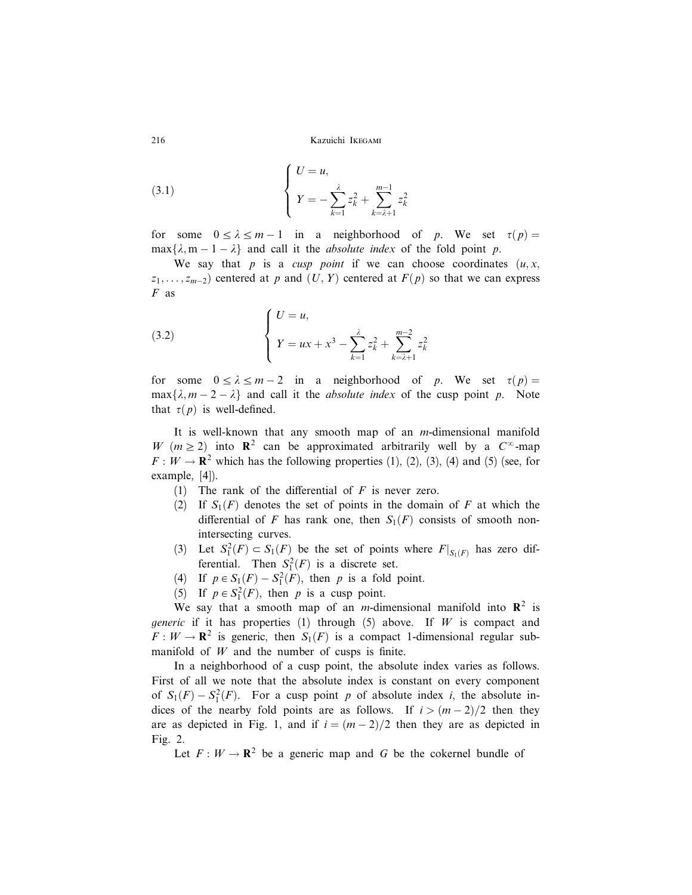(3.1) 
$$
\begin{cases} U = u, \\ Y = -\sum_{k=1}^{\lambda} z_k^2 + \sum_{k=\lambda+1}^{m-1} z_k^2 \end{cases}
$$

for some  $0 \le \lambda \le m - 1$  in a neighborhood of p. We set  $\tau(p) =$  $\max\{\lambda, m - 1 - \lambda\}$  and call it the *absolute index* of the fold point p.

We say that p is a cusp point if we can choose coordinates  $(u, x, y)$  $z_1, \ldots, z_{m-2}$ ) centered at p and  $(U, Y)$  centered at  $F(p)$  so that we can express  $F$  as

(3.2) 
$$
\begin{cases} U = u, \\ Y = ux + x^3 - \sum_{k=1}^{\lambda} z_k^2 + \sum_{k=\lambda+1}^{m-2} z_k^2 \end{cases}
$$

for some  $0 \le \lambda \le m - 2$  in a neighborhood of p. We set  $\tau(p) =$  $\max\{\lambda, m - 2 - \lambda\}$  and call it the *absolute index* of the cusp point p. Note that  $\tau(p)$  is well-defined.

It is well-known that any smooth map of an m-dimensional manifold W ( $m \ge 2$ ) into  $\mathbb{R}^2$  can be approximated arbitrarily well by a  $C^{\infty}$ -map  $F: W \to \mathbb{R}^2$  which has the following properties (1), (2), (3), (4) and (5) (see, for example, [4]).

- (1) The rank of the differential of  $F$  is never zero.
- (2) If  $S_1(F)$  denotes the set of points in the domain of F at which the differential of F has rank one, then  $S_1(F)$  consists of smooth nonintersecting curves.
- (3) Let  $S_1^2(F) \subset S_1(F)$  be the set of points where  $F|_{S_1(F)}$  has zero differential. Then  $S_1^2(F)$  is a discrete set.
- (4) If  $p \in S_1(F) S_1^2(F)$ , then p is a fold point.
- (5) If  $p \in S_1^2(F)$ , then p is a cusp point.

We say that a smooth map of an *m*-dimensional manifold into  $\mathbb{R}^2$  is *generic* if it has properties (1) through (5) above. If W is compact and  $F: W \to \mathbf{R}^2$  is generic, then  $S_1(F)$  is a compact 1-dimensional regular submanifold of  $W$  and the number of cusps is finite.

In a neighborhood of a cusp point, the absolute index varies as follows. First of all we note that the absolute index is constant on every component of  $S_1(F) - S_1^2(F)$ . For a cusp point p of absolute index i, the absolute indices of the nearby fold points are as follows. If  $i > (m-2)/2$  then they are as depicted in Fig. 1, and if  $i = (m-2)/2$  then they are as depicted in Fig. 2.

Let  $F: W \to \mathbb{R}^2$  be a generic map and G be the cokernel bundle of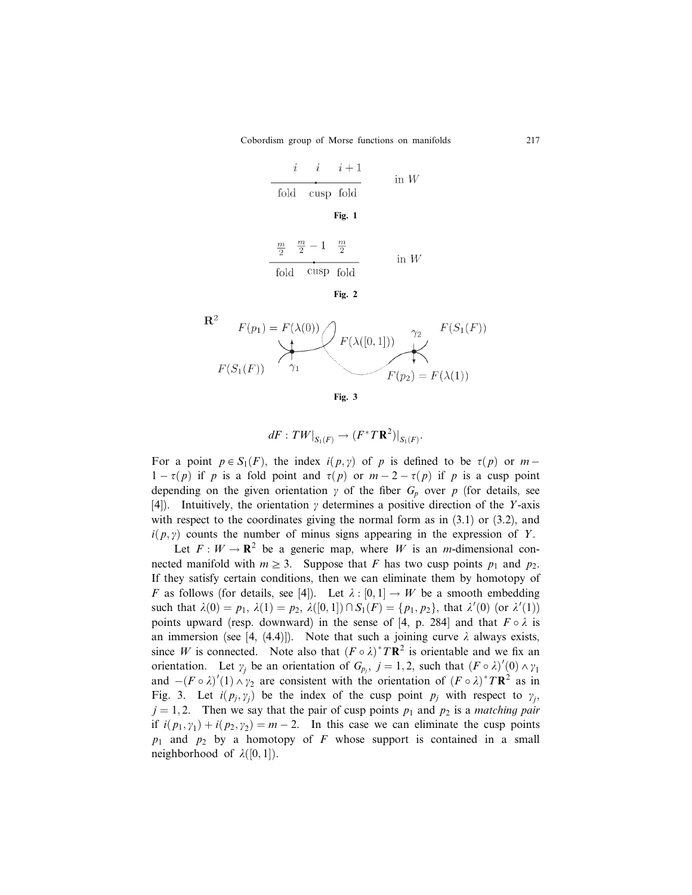$$
\begin{array}{c|c}\ni & i+1 \\
\hline\n\text{fold} & \text{cusp fold}\n\end{array}\n\quad \text{in } W
$$

Fig. 1

$$
\frac{m}{2} \frac{m}{2} - 1 \frac{m}{2}
$$
\nfold

\n2

\n1

\n2

\n1

\n2

\n3

\n3

\n4

\n5

\n5

\n6

\n6

\n7

\n8

\n8

\n9

\n10

\n10

\n10

\n11

\n12

\n13

\n14

\n15

\n16

\n17

\n18

\n19

\n10

\n10

\n11

\n14

\n15

\n16

\n16

\n17

\n18

\n19

\n19

\n10

\n10

\n10

\n11

\n14

\n15

\n16

\n17

\n18

\n19

\n10

\n10

\n11

\n14

\n15

\n16

\n16

\n17

\n18

\n19

\n19

\n10

\n10

\n11

\n14

\n15

\n16

\n16

\n17

\n18

\n19

\n19

\n10

\n10

\n10

\n10

\n10

\n10

\n10

\n10

\n10

\n10

\n10

\n10

\n10

\n10

\n10

\n10

\n10

\n10

\n10

\n10

\n10

\n10

Fig. 2



$$
dF:TW|_{S_1(F)} \to (F^*T\mathbf{R}^2)|_{S_1(F)}.
$$

For a point  $p \in S_1(F)$ , the index  $i(p, \gamma)$  of p is defined to be  $\tau(p)$  or  $m 1 - \tau(p)$  if p is a fold point and  $\tau(p)$  or  $m - 2 - \tau(p)$  if p is a cusp point depending on the given orientation  $\gamma$  of the fiber  $G_p$  over p (for details, see [4]). Intuitively, the orientation  $\gamma$  determines a positive direction of the Y-axis with respect to the coordinates giving the normal form as in  $(3.1)$  or  $(3.2)$ , and  $i(p, y)$  counts the number of minus signs appearing in the expression of Y.

Let  $F: W \to \mathbf{R}^2$  be a generic map, where W is an *m*-dimensional connected manifold with  $m \geq 3$ . Suppose that F has two cusp points  $p_1$  and  $p_2$ . If they satisfy certain conditions, then we can eliminate them by homotopy of F as follows (for details, see [4]). Let  $\lambda : [0,1] \to W$  be a smooth embedding such that  $\lambda(0) = p_1, \lambda(1) = p_2, \lambda([0,1]) \cap S_1(F) = \{p_1, p_2\}$ , that  $\lambda'(0)$  (or  $\lambda'(1)$ ) points upward (resp. downward) in the sense of [4, p. 284] and that  $F \circ \lambda$  is an immersion (see [4, (4.4)]). Note that such a joining curve  $\lambda$  always exists, since W is connected. Note also that  $(F \circ \lambda)^* T \mathbb{R}^2$  is orientable and we fix an orientation. Let  $\gamma_j$  be an orientation of  $G_{p_j}$ ,  $j = 1, 2$ , such that  $(F \circ \lambda)'(0) \wedge \gamma_1$ and  $-(F \circ \lambda)'(1) \wedge \gamma_2$  are consistent with the orientation of  $(F \circ \lambda)^* T \mathbb{R}^2$  as in Fig. 3. Let  $i(p_j, \gamma_j)$  be the index of the cusp point  $p_j$  with respect to  $\gamma_i$ ,  $j = 1, 2$ . Then we say that the pair of cusp points  $p_1$  and  $p_2$  is a matching pair if  $i(p_1, y_1) + i(p_2, y_2) = m - 2$ . In this case we can eliminate the cusp points  $p_1$  and  $p_2$  by a homotopy of F whose support is contained in a small neighborhood of  $\lambda([0,1])$ .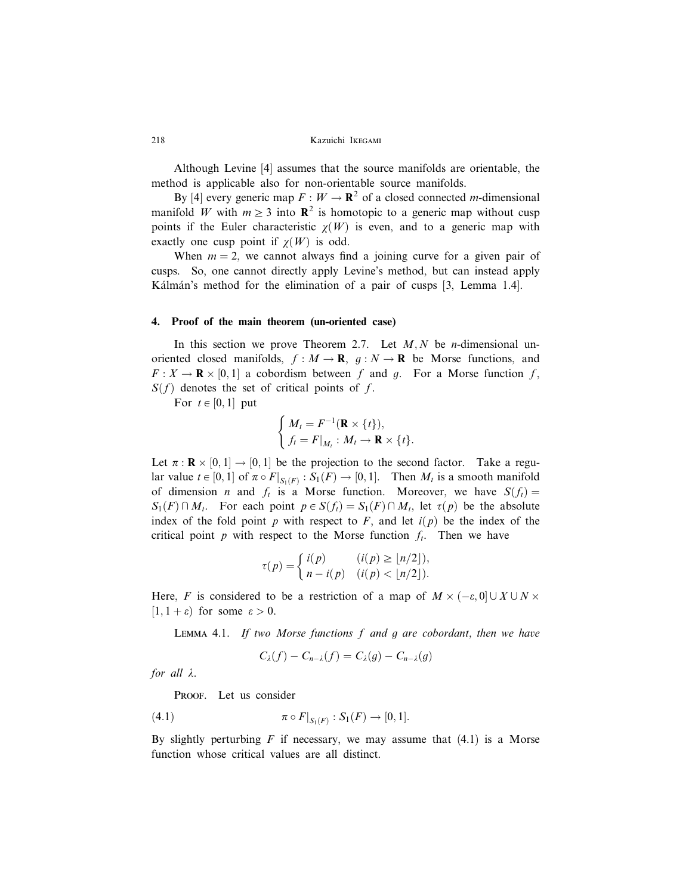Although Levine [4] assumes that the source manifolds are orientable, the method is applicable also for non-orientable source manifolds.

By [4] every generic map  $F : W \to \mathbf{R}^2$  of a closed connected *m*-dimensional manifold W with  $m \geq 3$  into  $\mathbb{R}^2$  is homotopic to a generic map without cusp points if the Euler characteristic  $\chi(W)$  is even, and to a generic map with exactly one cusp point if  $\chi(W)$  is odd.

When  $m = 2$ , we cannot always find a joining curve for a given pair of cusps. So, one cannot directly apply Levine's method, but can instead apply Kálmán's method for the elimination of a pair of cusps [3, Lemma 1.4].

#### 4. Proof of the main theorem (un-oriented case)

In this section we prove Theorem 2.7. Let  $M, N$  be *n*-dimensional unoriented closed manifolds,  $f : M \to \mathbf{R}$ ,  $g : N \to \mathbf{R}$  be Morse functions, and  $F: X \to \mathbf{R} \times [0,1]$  a cobordism between f and g. For a Morse function f,  $S(f)$  denotes the set of critical points of f.

For  $t \in [0, 1]$  put

$$
\begin{cases} M_t = F^{-1}(\mathbf{R} \times \{t\}), \\ f_t = F|_{M_t} : M_t \to \mathbf{R} \times \{t\}. \end{cases}
$$

Let  $\pi : \mathbf{R} \times [0,1] \to [0,1]$  be the projection to the second factor. Take a regular value  $t \in [0, 1]$  of  $\pi \circ F|_{S_1(F)} : S_1(F) \to [0, 1]$ . Then  $M_t$  is a smooth manifold of dimension *n* and  $f_t$  is a Morse function. Moreover, we have  $S(f_t) =$  $S_1(F) \cap M_t$ . For each point  $p \in S(f_t) = S_1(F) \cap M_t$ , let  $\tau(p)$  be the absolute index of the fold point p with respect to F, and let  $i(p)$  be the index of the critical point  $p$  with respect to the Morse function  $f_t$ . Then we have

$$
\tau(p) = \begin{cases} i(p) & (i(p) \ge \lfloor n/2 \rfloor), \\ n - i(p) & (i(p) < \lfloor n/2 \rfloor). \end{cases}
$$

Here, F is considered to be a restriction of a map of  $M \times (-\varepsilon, 0] \cup X \cup N \times$  $[1, 1 + \varepsilon]$  for some  $\varepsilon > 0$ .

LEMMA 4.1. If two Morse functions  $f$  and  $g$  are cobordant, then we have

$$
C_{\lambda}(f) - C_{n-\lambda}(f) = C_{\lambda}(g) - C_{n-\lambda}(g)
$$

for all  $\lambda$ .

PROOF. Let us consider

(4.1) 
$$
\pi \circ F|_{S_1(F)} : S_1(F) \to [0,1].
$$

By slightly perturbing  $F$  if necessary, we may assume that  $(4.1)$  is a Morse function whose critical values are all distinct.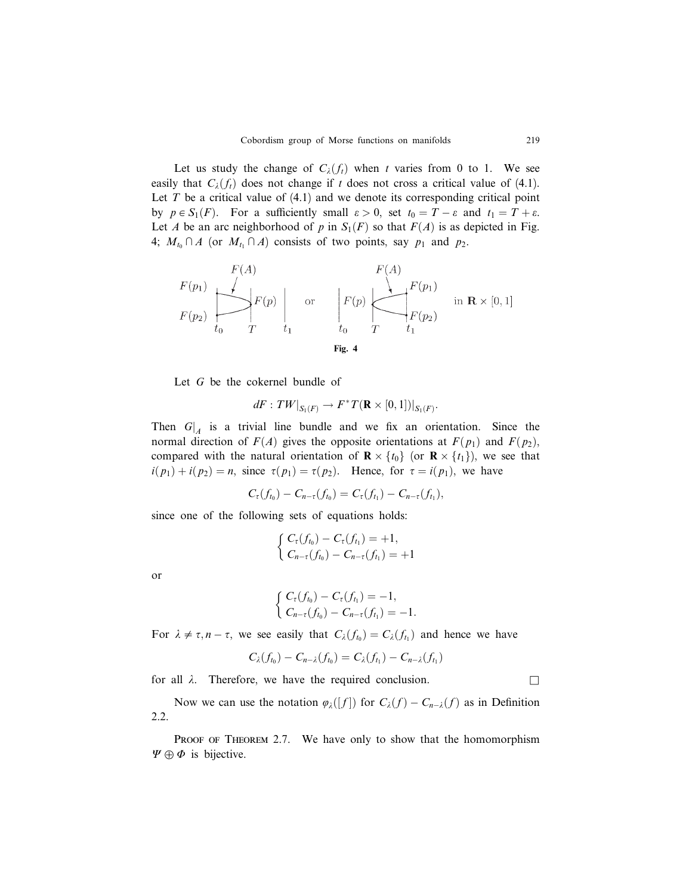Let us study the change of  $C_{\lambda}(f_t)$  when t varies from 0 to 1. We see easily that  $C_{\lambda}(f_t)$  does not change if t does not cross a critical value of (4.1). Let  $T$  be a critical value of  $(4.1)$  and we denote its corresponding critical point by  $p \in S_1(F)$ . For a sufficiently small  $\varepsilon > 0$ , set  $t_0 = T - \varepsilon$  and  $t_1 = T + \varepsilon$ . Let A be an arc neighborhood of p in  $S_1(F)$  so that  $F(A)$  is as depicted in Fig. 4;  $M_{t_0} \cap A$  (or  $M_{t_1} \cap A$ ) consists of two points, say  $p_1$  and  $p_2$ .

$$
F(p_1)
$$
\n
$$
F(p_2)
$$
\n
$$
F(p_3)
$$
\n
$$
F(p_4)
$$
\n
$$
F(p_5)
$$
\n
$$
F(p_1)
$$
\n
$$
F(p_2)
$$
\n
$$
t_1
$$
\n
$$
t_0
$$
\n
$$
F(p_1)
$$
\n
$$
F(p_2)
$$
\n
$$
t_1
$$
\n
$$
t_0
$$
\n
$$
T
$$
\n
$$
t_1
$$
\n
$$
F(p_2)
$$
\n
$$
t_1
$$
\n
$$
t_2
$$
\n
$$
t_1
$$

Let G be the cokernel bundle of

$$
dF: \left.TW\right|_{S_1(F)} \to F^*T(\mathbf{R} \times [0,1])|_{S_1(F)}.
$$

Then  $G|_A$  is a trivial line bundle and we fix an orientation. Since the normal direction of  $F(A)$  gives the opposite orientations at  $F(p_1)$  and  $F(p_2)$ , compared with the natural orientation of  $\mathbf{R} \times \{t_0\}$  (or  $\mathbf{R} \times \{t_1\}$ ), we see that  $i(p_1) + i(p_2) = n$ , since  $\tau(p_1) = \tau(p_2)$ . Hence, for  $\tau = i(p_1)$ , we have

$$
C_{\tau}(f_{t_0})-C_{n-\tau}(f_{t_0})=C_{\tau}(f_{t_1})-C_{n-\tau}(f_{t_1}),
$$

since one of the following sets of equations holds:

$$
\begin{cases} C_{\tau}(f_{t_0}) - C_{\tau}(f_{t_1}) = +1, \\ C_{n-\tau}(f_{t_0}) - C_{n-\tau}(f_{t_1}) = +1 \end{cases}
$$

or

$$
\begin{cases} C_{\tau}(f_{t_0}) - C_{\tau}(f_{t_1}) = -1, \\ C_{n-\tau}(f_{t_0}) - C_{n-\tau}(f_{t_1}) = -1. \end{cases}
$$

For  $\lambda \neq \tau, n - \tau$ , we see easily that  $C_{\lambda}(f_{t_0}) = C_{\lambda}(f_{t_1})$  and hence we have

$$
C_{\lambda}(f_{t_0})-C_{n-\lambda}(f_{t_0})=C_{\lambda}(f_{t_1})-C_{n-\lambda}(f_{t_1})
$$

for all  $\lambda$ . Therefore, we have the required conclusion.

Now we can use the notation  $\varphi_{\lambda}([f])$  for  $C_{\lambda}(f) - C_{n-\lambda}(f)$  as in Definition 2.2.

PROOF OF THEOREM 2.7. We have only to show that the homomorphism  $\Psi \oplus \Phi$  is bijective.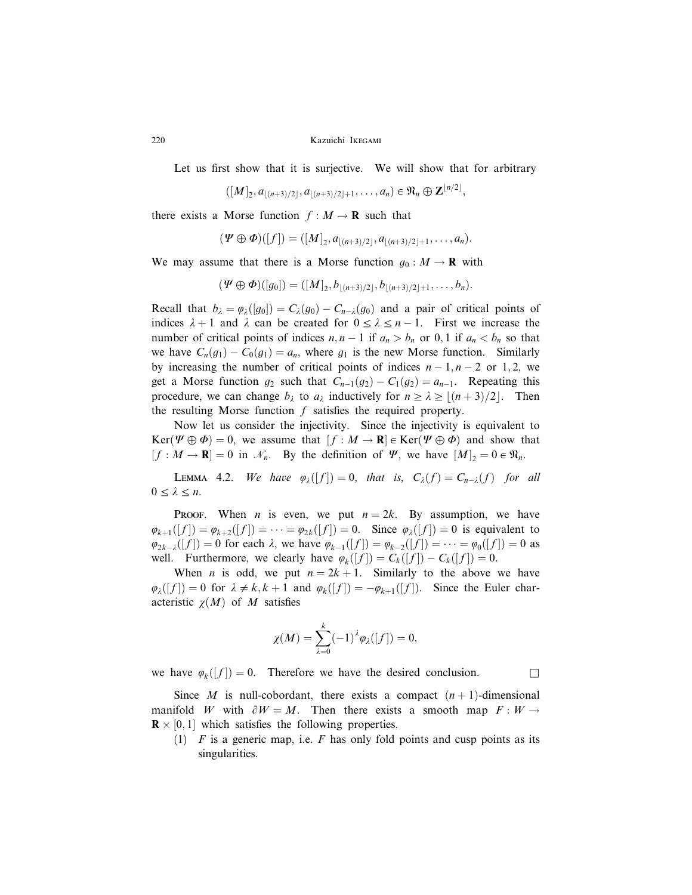Let us first show that it is surjective. We will show that for arbitrary

 $([M]_2, a_{\lfloor (n+3)/2 \rfloor}, a_{\lfloor (n+3)/2 \rfloor+1}, \ldots, a_n) \in \mathfrak{N}_n \oplus \mathbf{Z}^{\lfloor n/2 \rfloor},$ 

there exists a Morse function  $f : M \to \mathbf{R}$  such that

$$
(\Psi \oplus \Phi)([f]) = ([M]_2, a_{\lfloor (n+3)/2 \rfloor}, a_{\lfloor (n+3)/2 \rfloor + 1}, \ldots, a_n).
$$

We may assume that there is a Morse function  $q_0 : M \to \mathbf{R}$  with

$$
(\Psi \oplus \Phi)([g_0]) = ([M]_2, b_{\lfloor (n+3)/2 \rfloor}, b_{\lfloor (n+3)/2 \rfloor + 1}, \ldots, b_n).
$$

Recall that  $b_{\lambda} = \varphi_{\lambda}([g_0]) = C_{\lambda}(g_0) - C_{n-\lambda}(g_0)$  and a pair of critical points of indices  $\lambda + 1$  and  $\lambda$  can be created for  $0 \le \lambda \le n - 1$ . First we increase the number of critical points of indices  $n, n - 1$  if  $a_n > b_n$  or 0, 1 if  $a_n < b_n$  so that we have  $C_n(g_1) - C_0(g_1) = a_n$ , where  $g_1$  is the new Morse function. Similarly by increasing the number of critical points of indices  $n-1, n-2$  or 1,2, we get a Morse function  $g_2$  such that  $C_{n-1}(g_2) - C_1(g_2) = a_{n-1}$ . Repeating this procedure, we can change  $b_{\lambda}$  to  $a_{\lambda}$  inductively for  $n \geq \lambda \geq \lfloor (n+3)/2 \rfloor$ . Then the resulting Morse function  $f$  satisfies the required property.

Now let us consider the injectivity. Since the injectivity is equivalent to  $\text{Ker}(\Psi \oplus \Phi) = 0$ , we assume that  $[f : M \to \mathbf{R}] \in \text{Ker}(\Psi \oplus \Phi)$  and show that  $[f : M \to \mathbf{R}] = 0$  in  $\mathcal{N}_n$ . By the definition of  $\Psi$ , we have  $[M]_2 = 0 \in \mathfrak{N}_n$ .

LEMMA 4.2. We have  $\varphi_{\lambda}([f]) = 0$ , that is,  $C_{\lambda}(f) = C_{n-\lambda}(f)$  for all  $0 \leq \lambda \leq n$ .

PROOF. When *n* is even, we put  $n = 2k$ . By assumption, we have  $\varphi_{k+1}([f]) = \varphi_{k+2}([f]) = \cdots = \varphi_{2k}([f]) = 0$ . Since  $\varphi_{\lambda}([f]) = 0$  is equivalent to  $\varphi_{2k-2}([f]) = 0$  for each  $\lambda$ , we have  $\varphi_{k-1}([f]) = \varphi_{k-2}([f]) = \cdots = \varphi_0([f]) = 0$  as well. Furthermore, we clearly have  $\varphi_k([f]) = C_k([f]) - C_k([f]) = 0$ .

When *n* is odd, we put  $n = 2k + 1$ . Similarly to the above we have  $\varphi_{\lambda}([f]) = 0$  for  $\lambda \neq k, k + 1$  and  $\varphi_{k}([f]) = -\varphi_{k+1}([f])$ . Since the Euler characteristic  $\chi(M)$  of M satisfies

$$
\chi(M)=\sum_{\lambda=0}^k(-1)^{\lambda}\varphi_{\lambda}([f])=0,
$$

we have  $\varphi_k([f]) = 0$ . Therefore we have the desired conclusion.

Since M is null-cobordant, there exists a compact  $(n + 1)$ -dimensional manifold W with  $\partial W = M$ . Then there exists a smooth map  $F : W \rightarrow$  $\mathbf{R} \times [0, 1]$  which satisfies the following properties.

(1)  $F$  is a generic map, i.e.  $F$  has only fold points and cusp points as its singularities.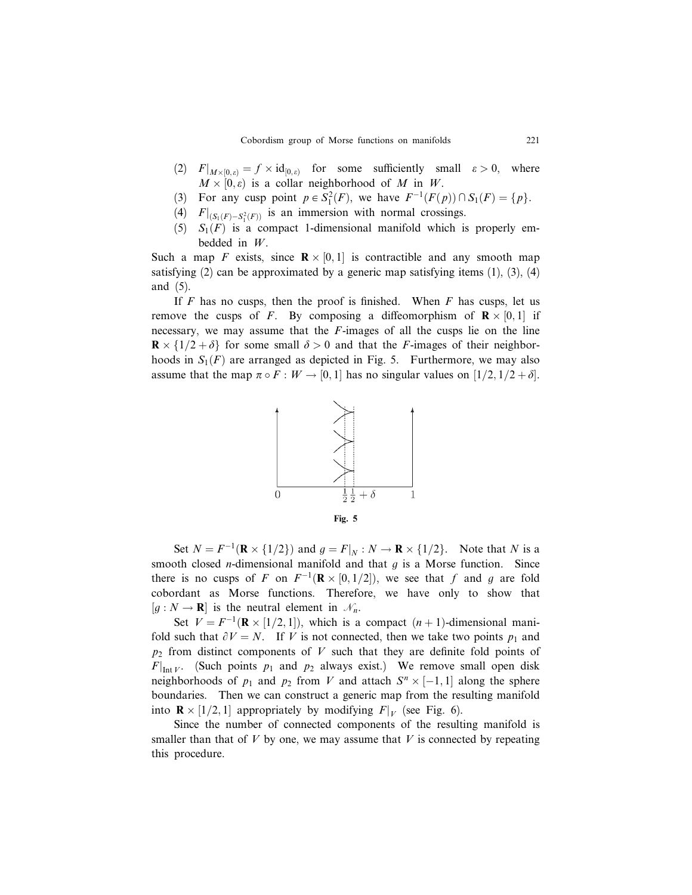- (2)  $F|_{M\times[0,\varepsilon)}=f\times\mathrm{id}_{[0,\varepsilon)}$  for some sufficiently small  $\varepsilon>0$ , where  $M \times [0, \varepsilon)$  is a collar neighborhood of M in W.
- (3) For any cusp point  $p \in S_1^2(F)$ , we have  $F^{-1}(F(p)) \cap S_1(F) = \{p\}.$
- (4)  $F|_{(S_1(F) S_1^2(F))}$  is an immersion with normal crossings.
- (5)  $S_1(F)$  is a compact 1-dimensional manifold which is properly embedded in W.

Such a map F exists, since  $\mathbb{R} \times [0,1]$  is contractible and any smooth map satisfying  $(2)$  can be approximated by a generic map satisfying items  $(1)$ ,  $(3)$ ,  $(4)$ and (5).

If  $F$  has no cusps, then the proof is finished. When  $F$  has cusps, let us remove the cusps of F. By composing a diffeomorphism of  $\mathbf{R} \times [0,1]$  if necessary, we may assume that the  $F$ -images of all the cusps lie on the line  $\mathbf{R} \times \{1/2 + \delta\}$  for some small  $\delta > 0$  and that the F-images of their neighborhoods in  $S_1(F)$  are arranged as depicted in Fig. 5. Furthermore, we may also assume that the map  $\pi \circ F : W \to [0, 1]$  has no singular values on  $[1/2, 1/2 + \delta]$ .



Set  $N = F^{-1}(\mathbf{R} \times \{1/2\})$  and  $g = F|_N : N \to \mathbf{R} \times \{1/2\}$ . Note that N is a smooth closed *n*-dimensional manifold and that  $g$  is a Morse function. Since there is no cusps of F on  $F^{-1}(\mathbf{R} \times [0, 1/2])$ , we see that f and g are fold cobordant as Morse functions. Therefore, we have only to show that  $[g: N \to \mathbf{R}]$  is the neutral element in  $\mathcal{N}_n$ .

Set  $V = F^{-1}(\mathbf{R} \times [1/2, 1])$ , which is a compact  $(n + 1)$ -dimensional manifold such that  $\partial V = N$ . If V is not connected, then we take two points  $p_1$  and  $p_2$  from distinct components of V such that they are definite fold points of  $F|_{\text{Int }V}$ . (Such points  $p_1$  and  $p_2$  always exist.) We remove small open disk neighborhoods of  $p_1$  and  $p_2$  from V and attach  $S^n \times [-1,1]$  along the sphere boundaries. Then we can construct a generic map from the resulting manifold into  $\mathbf{R} \times [1/2, 1]$  appropriately by modifying  $F|_V$  (see Fig. 6).

Since the number of connected components of the resulting manifold is smaller than that of  $V$  by one, we may assume that  $V$  is connected by repeating this procedure.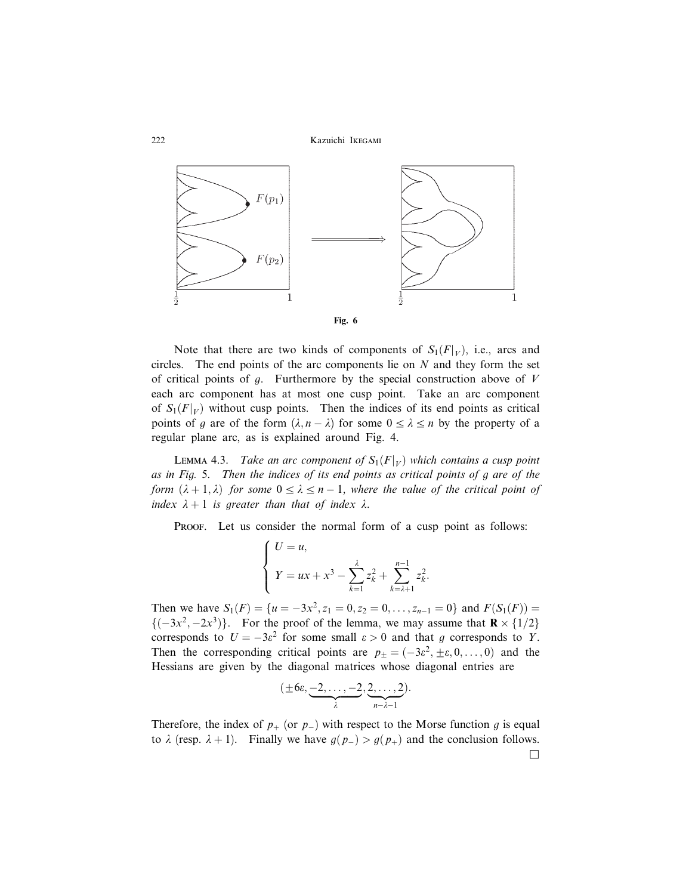



Note that there are two kinds of components of  $S_1(F|_V)$ , i.e., arcs and circles. The end points of the arc components lie on  $N$  and they form the set of critical points of  $g$ . Furthermore by the special construction above of  $V$ each arc component has at most one cusp point. Take an arc component of  $S_1(F|_V)$  without cusp points. Then the indices of its end points as critical points of g are of the form  $(\lambda, n - \lambda)$  for some  $0 \le \lambda \le n$  by the property of a regular plane arc, as is explained around Fig. 4.

**LEMMA 4.3.** Take an arc component of  $S_1(F|_V)$  which contains a cusp point as in Fig. 5. Then the indices of its end points as critical points of g are of the form  $(\lambda + 1, \lambda)$  for some  $0 \leq \lambda \leq n - 1$ , where the value of the critical point of index  $\lambda + 1$  is greater than that of index  $\lambda$ .

PROOF. Let us consider the normal form of a cusp point as follows:

$$
\begin{cases}\nU = u, \\
Y = ux + x^3 - \sum_{k=1}^{\lambda} z_k^2 + \sum_{k=\lambda+1}^{n-1} z_k^2.\n\end{cases}
$$

Then we have  $S_1(F) = \{u = -3x^2, z_1 = 0, z_2 = 0, \ldots, z_{n-1} = 0\}$  and  $F(S_1(F)) =$  ${(-3x^2, -2x^3)}$ . For the proof of the lemma, we may assume that  $\mathbf{R} \times \{1/2\}$ corresponds to  $U = -3\varepsilon^2$  for some small  $\varepsilon > 0$  and that g corresponds to Y. Then the corresponding critical points are  $p_{\pm} = (-3\varepsilon^2, \pm \varepsilon, 0, \dots, 0)$  and the Hessians are given by the diagonal matrices whose diagonal entries are

$$
(\pm 6\varepsilon, \underbrace{-2,\ldots,-2}_{\lambda}, \underbrace{2,\ldots,2}_{n-\lambda-1}).
$$

Therefore, the index of  $p_+$  (or  $p_-$ ) with respect to the Morse function g is equal to  $\lambda$  (resp.  $\lambda + 1$ ). Finally we have  $g(p_{-}) > g(p_{+})$  and the conclusion follows.

 $\Box$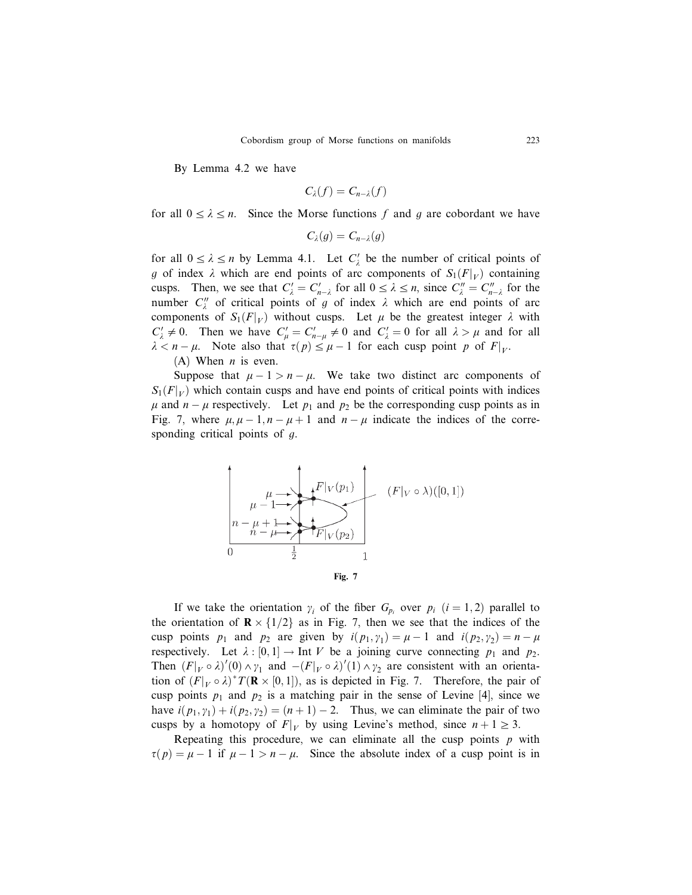By Lemma 4.2 we have

$$
C_{\lambda}(f)=C_{n-\lambda}(f)
$$

for all  $0 \le \lambda \le n$ . Since the Morse functions f and g are cobordant we have

$$
C_{\lambda}(g)=C_{n-\lambda}(g)
$$

for all  $0 \le \lambda \le n$  by Lemma 4.1. Let  $C'_{\lambda}$  be the number of critical points of g of index  $\lambda$  which are end points of arc components of  $S_1(F|_V)$  containing cusps. Then, we see that  $C'_{\lambda} = C'_{n-\lambda}$  for all  $0 \le \lambda \le n$ , since  $C''_{\lambda} = C''_{n-\lambda}$  for the number  $C''_{\lambda}$  of critical points of g of index  $\lambda$  which are end points of arc components of  $S_1(F|_V)$  without cusps. Let  $\mu$  be the greatest integer  $\lambda$  with  $C'_{\lambda} \neq 0$ . Then we have  $C'_{\mu} = C'_{n-\mu} \neq 0$  and  $C'_{\lambda} = 0$  for all  $\lambda > \mu$  and for all  $\lambda < n - \mu$ . Note also that  $\tau(p) \leq \mu - 1$  for each cusp point p of  $F|_{V}$ .

(A) When  $n$  is even.

Suppose that  $\mu - 1 > n - \mu$ . We take two distinct arc components of  $S_1(F|_V)$  which contain cusps and have end points of critical points with indices  $\mu$  and  $n - \mu$  respectively. Let  $p_1$  and  $p_2$  be the corresponding cusp points as in Fig. 7, where  $\mu, \mu - 1, n - \mu + 1$  and  $n - \mu$  indicate the indices of the corresponding critical points of g.



If we take the orientation  $\gamma_i$  of the fiber  $G_{p_i}$  over  $p_i$   $(i = 1, 2)$  parallel to the orientation of  $\mathbb{R} \times \{1/2\}$  as in Fig. 7, then we see that the indices of the cusp points  $p_1$  and  $p_2$  are given by  $i(p_1, y_1) = \mu - 1$  and  $i(p_2, y_2) = n - \mu$ respectively. Let  $\lambda : [0,1] \to \text{Int } V$  be a joining curve connecting  $p_1$  and  $p_2$ . Then  $(F|_V \circ \lambda)'(0) \wedge \gamma_1$  and  $-(F|_V \circ \lambda)'(1) \wedge \gamma_2$  are consistent with an orientation of  $(F|_{V} \circ \lambda)^* T(\mathbf{R} \times [0,1])$ , as is depicted in Fig. 7. Therefore, the pair of cusp points  $p_1$  and  $p_2$  is a matching pair in the sense of Levine [4], since we have  $i(p_1, y_1) + i(p_2, y_2) = (n + 1) - 2$ . Thus, we can eliminate the pair of two cusps by a homotopy of  $F|_V$  by using Levine's method, since  $n + 1 \ge 3$ .

Repeating this procedure, we can eliminate all the cusp points  $p$  with  $\tau(p) = \mu - 1$  if  $\mu - 1 > n - \mu$ . Since the absolute index of a cusp point is in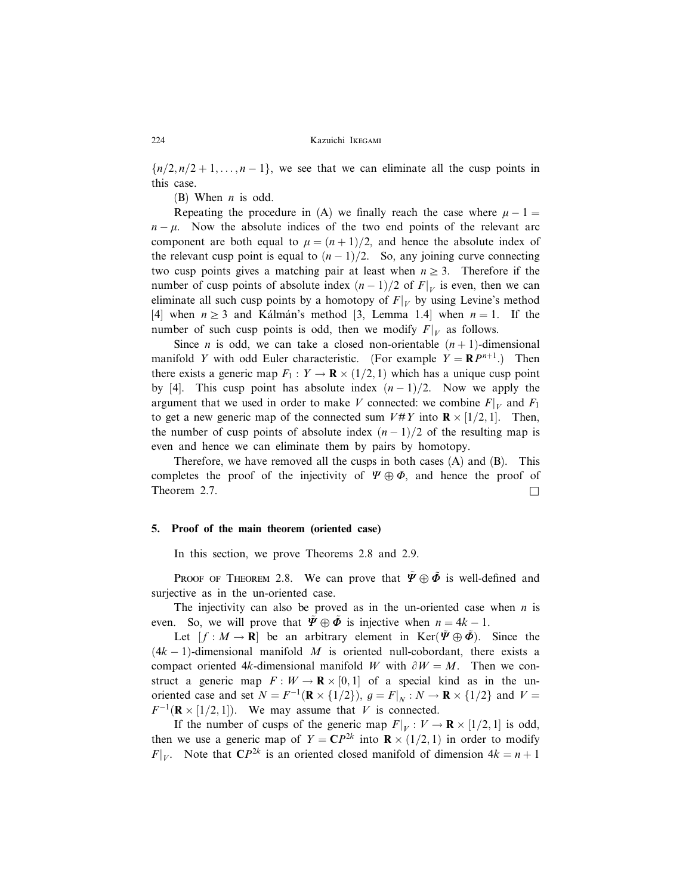${n/2, n/2+1, ..., n-1}$ , we see that we can eliminate all the cusp points in this case.

(B) When  $n$  is odd.

Repeating the procedure in (A) we finally reach the case where  $\mu - 1 =$  $n - \mu$ . Now the absolute indices of the two end points of the relevant arc component are both equal to  $\mu = (n + 1)/2$ , and hence the absolute index of the relevant cusp point is equal to  $(n-1)/2$ . So, any joining curve connecting two cusp points gives a matching pair at least when  $n \geq 3$ . Therefore if the number of cusp points of absolute index  $(n-1)/2$  of  $F|_V$  is even, then we can eliminate all such cusp points by a homotopy of  $F|_V$  by using Levine's method [4] when  $n \geq 3$  and Ka`lma`n's method [3, Lemma 1.4] when  $n = 1$ . If the number of such cusp points is odd, then we modify  $F|_V$  as follows.

Since *n* is odd, we can take a closed non-orientable  $(n + 1)$ -dimensional manifold Y with odd Euler characteristic. (For example  $Y = \mathbb{R}P^{n+1}$ .) Then there exists a generic map  $F_1: Y \to \mathbf{R} \times (1/2, 1)$  which has a unique cusp point by [4]. This cusp point has absolute index  $(n-1)/2$ . Now we apply the argument that we used in order to make V connected: we combine  $F|_V$  and  $F_1$ to get a new generic map of the connected sum  $V \# Y$  into  $\mathbf{R} \times [1/2, 1]$ . Then, the number of cusp points of absolute index  $(n-1)/2$  of the resulting map is even and hence we can eliminate them by pairs by homotopy.

Therefore, we have removed all the cusps in both cases  $(A)$  and  $(B)$ . This completes the proof of the injectivity of  $\Psi \oplus \Phi$ , and hence the proof of Theorem 2.7.  $\Box$ 

# 5. Proof of the main theorem (oriented case)

In this section, we prove Theorems 2.8 and 2.9.

**PROOF OF THEOREM 2.8.** We can prove that  $\tilde{\Psi} \oplus \tilde{\Phi}$  is well-defined and surjective as in the un-oriented case.

The injectivity can also be proved as in the un-oriented case when  $n$  is even. So, we will prove that  $\tilde{\Psi} \oplus \tilde{\Phi}$  is injective when  $n = 4k - 1$ .

Let  $[f : M \to \mathbb{R}]$  be an arbitrary element in Ker $(\tilde{\Psi} \oplus \tilde{\Phi})$ . Since the  $(4k - 1)$ -dimensional manifold M is oriented null-cobordant, there exists a compact oriented 4k-dimensional manifold W with  $\partial W = M$ . Then we construct a generic map  $F: W \to \mathbf{R} \times [0,1]$  of a special kind as in the unoriented case and set  $N = F^{-1}(\mathbf{R} \times \{1/2\})$ ,  $g = F|_N : N \to \mathbf{R} \times \{1/2\}$  and  $V =$  $F^{-1}(\mathbf{R} \times [1/2, 1])$ . We may assume that V is connected.

If the number of cusps of the generic map  $F|_V : V \to \mathbf{R} \times [1/2, 1]$  is odd, then we use a generic map of  $Y = \mathbb{C}P^{2k}$  into  $\mathbb{R} \times (1/2, 1)$  in order to modify  $F|_V$ . Note that  $\mathbb{C}P^{2k}$  is an oriented closed manifold of dimension  $4k = n + 1$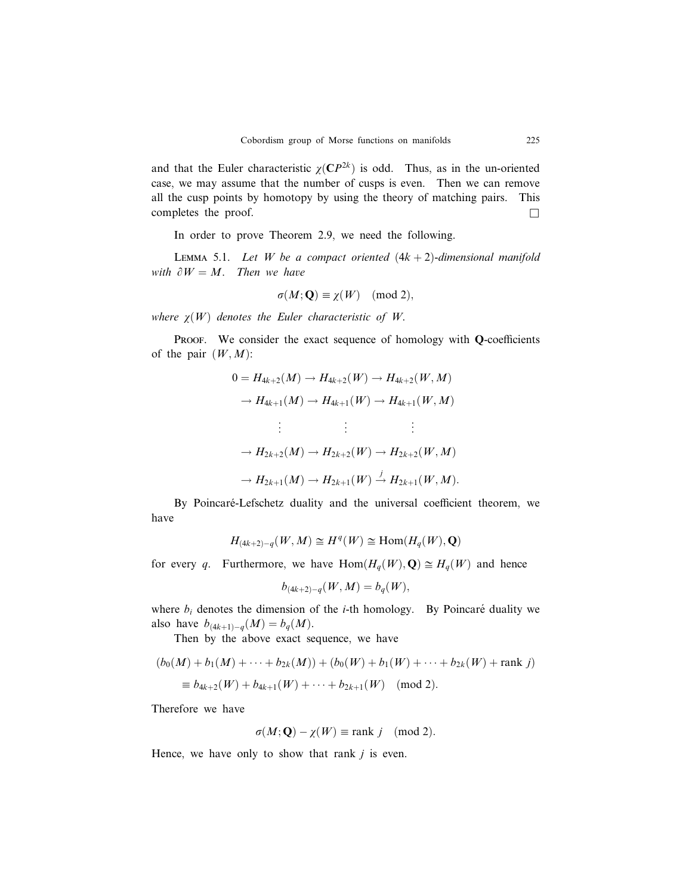and that the Euler characteristic  $\chi(CP^{2k})$  is odd. Thus, as in the un-oriented case, we may assume that the number of cusps is even. Then we can remove all the cusp points by homotopy by using the theory of matching pairs. This completes the proof.  $\Box$ 

In order to prove Theorem 2.9, we need the following.

LEMMA 5.1. Let W be a compact oriented  $(4k + 2)$ -dimensional manifold with  $\partial W = M$ . Then we have

$$
\sigma(M; \mathbf{Q}) \equiv \chi(W) \pmod{2},
$$

where  $\chi(W)$  denotes the Euler characteristic of W.

PROOF. We consider the exact sequence of homology with  $Q$ -coefficients of the pair  $(W, M)$ :

$$
0 = H_{4k+2}(M) \to H_{4k+2}(W) \to H_{4k+2}(W, M)
$$
  
\n
$$
\to H_{4k+1}(M) \to H_{4k+1}(W) \to H_{4k+1}(W, M)
$$
  
\n
$$
\vdots \qquad \vdots \qquad \vdots
$$
  
\n
$$
\to H_{2k+2}(M) \to H_{2k+2}(W) \to H_{2k+2}(W, M)
$$
  
\n
$$
\to H_{2k+1}(M) \to H_{2k+1}(W) \stackrel{j}{\to} H_{2k+1}(W, M).
$$

By Poincaré-Lefschetz duality and the universal coefficient theorem, we have

$$
H_{(4k+2)-q}(W,M) \cong H^q(W) \cong \text{Hom}(H_q(W),\mathbf{Q})
$$

for every q. Furthermore, we have  $\text{Hom}(H_q(W), \mathbf{Q}) \cong H_q(W)$  and hence

$$
b_{(4k+2)-q}(W,M) = b_q(W),
$$

where  $b_i$  denotes the dimension of the *i*-th homology. By Poincaré duality we also have  $b_{(4k+1)-q}(M) = b_q(M)$ .

Then by the above exact sequence, we have

$$
(b_0(M) + b_1(M) + \dots + b_{2k}(M)) + (b_0(W) + b_1(W) + \dots + b_{2k}(W) + \text{rank } j)
$$
  
\n
$$
\equiv b_{4k+2}(W) + b_{4k+1}(W) + \dots + b_{2k+1}(W) \pmod{2}.
$$

Therefore we have

$$
\sigma(M; \mathbf{Q}) - \chi(W) \equiv \text{rank } j \pmod{2}.
$$

Hence, we have only to show that rank  $j$  is even.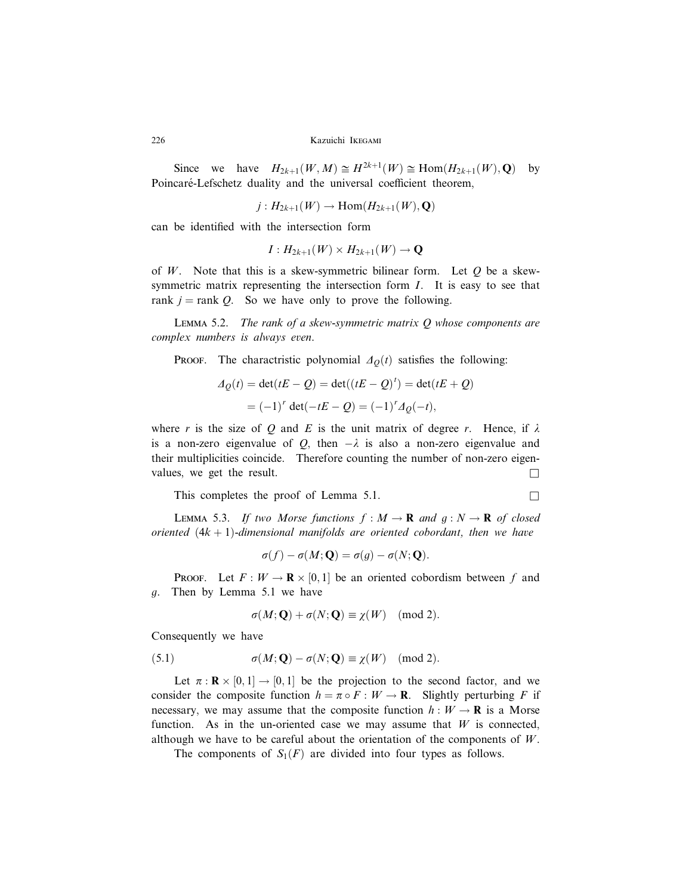Since we have  $H_{2k+1}(W, M) \cong H^{2k+1}(W) \cong \text{Hom}(H_{2k+1}(W), \mathbf{Q})$  by Poincaré-Lefschetz duality and the universal coefficient theorem,

$$
j: H_{2k+1}(W) \to \text{Hom}(H_{2k+1}(W), \mathbf{Q})
$$

can be identified with the intersection form

$$
I: H_{2k+1}(W) \times H_{2k+1}(W) \to \mathbf{Q}
$$

of W. Note that this is a skew-symmetric bilinear form. Let  $O$  be a skewsymmetric matrix representing the intersection form  $I$ . It is easy to see that rank  $j =$ rank Q. So we have only to prove the following.

LEMMA 5.2. The rank of a skew-symmetric matrix  $Q$  whose components are complex numbers is always even.

PROOF. The charactristic polynomial  $\Delta \varrho(t)$  satisfies the following:

$$
\Delta_Q(t) = \det(tE - Q) = \det((tE - Q)^t) = \det(tE + Q)
$$

$$
= (-1)^r \det(-tE - Q) = (-1)^r \Delta_Q(-t),
$$

where r is the size of Q and E is the unit matrix of degree r. Hence, if  $\lambda$ is a non-zero eigenvalue of Q, then  $-\lambda$  is also a non-zero eigenvalue and their multiplicities coincide. Therefore counting the number of non-zero eigenvalues, we get the result.

This completes the proof of Lemma 5.1.  $\Box$ 

LEMMA 5.3. If two Morse functions  $f : M \to \mathbf{R}$  and  $g : N \to \mathbf{R}$  of closed oriented  $(4k + 1)$ -dimensional manifolds are oriented cobordant, then we have

$$
\sigma(f) - \sigma(M; \mathbf{Q}) = \sigma(g) - \sigma(N; \mathbf{Q}).
$$

PROOF. Let  $F: W \to \mathbf{R} \times [0,1]$  be an oriented cobordism between f and g. Then by Lemma 5.1 we have

$$
\sigma(M; \mathbf{Q}) + \sigma(N; \mathbf{Q}) \equiv \chi(W) \pmod{2}.
$$

Consequently we have

(5.1) 
$$
\sigma(M; \mathbf{Q}) - \sigma(N; \mathbf{Q}) \equiv \chi(W) \pmod{2}.
$$

Let  $\pi : \mathbf{R} \times [0,1] \to [0,1]$  be the projection to the second factor, and we consider the composite function  $h = \pi \circ F : W \to \mathbf{R}$ . Slightly perturbing F if necessary, we may assume that the composite function  $h : W \to \mathbf{R}$  is a Morse function. As in the un-oriented case we may assume that  $W$  is connected, although we have to be careful about the orientation of the components of  $W$ .

The components of  $S_1(F)$  are divided into four types as follows.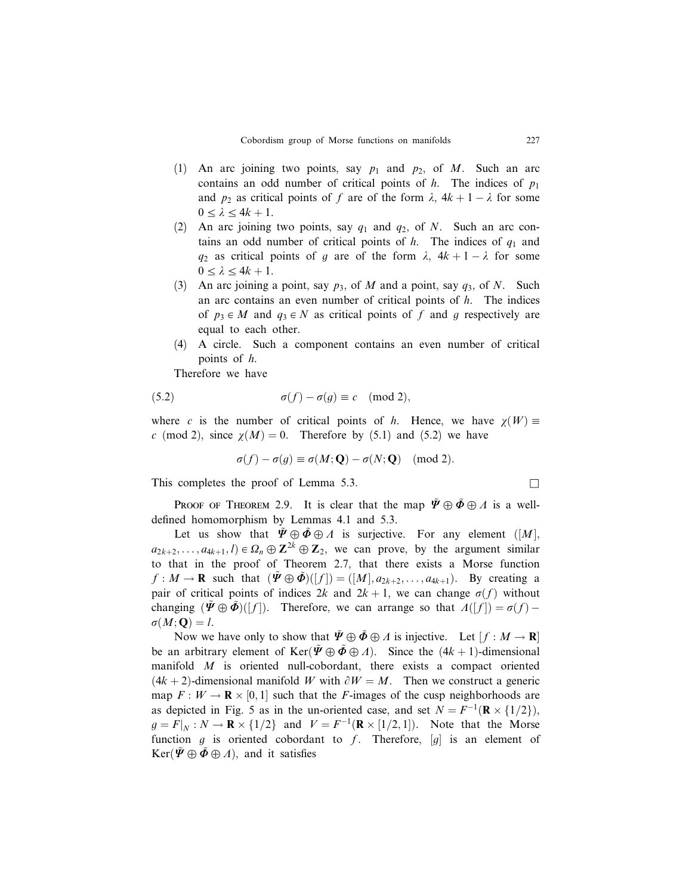- (1) An arc joining two points, say  $p_1$  and  $p_2$ , of M. Such an arc contains an odd number of critical points of  $h$ . The indices of  $p_1$ and  $p_2$  as critical points of f are of the form  $\lambda$ ,  $4k + 1 - \lambda$  for some  $0 \leq \lambda \leq 4k + 1$ .
- (2) An arc joining two points, say  $q_1$  and  $q_2$ , of N. Such an arc contains an odd number of critical points of  $h$ . The indices of  $q_1$  and  $q_2$  as critical points of g are of the form  $\lambda$ ,  $4k+1-\lambda$  for some  $0 \leq \lambda \leq 4k + 1$ .
- (3) An arc joining a point, say  $p_3$ , of M and a point, say  $q_3$ , of N. Such an arc contains an even number of critical points of h. The indices of  $p_3 \in M$  and  $q_3 \in N$  as critical points of f and g respectively are equal to each other.
- (4) A circle. Such a component contains an even number of critical points of h.

Therefore we have

(5.2) 
$$
\sigma(f) - \sigma(g) \equiv c \pmod{2},
$$

where c is the number of critical points of h. Hence, we have  $\chi(W)$  = c (mod 2), since  $\chi(M) = 0$ . Therefore by (5.1) and (5.2) we have

$$
\sigma(f) - \sigma(g) \equiv \sigma(M; \mathbf{Q}) - \sigma(N; \mathbf{Q}) \pmod{2}.
$$

This completes the proof of Lemma 5.3.  $\Box$ 

PROOF OF THEOREM 2.9. It is clear that the map  $\tilde{\Psi} \oplus \tilde{\Phi} \oplus \Lambda$  is a welldefined homomorphism by Lemmas 4.1 and 5.3.

Let us show that  $\tilde{\Psi} \oplus \tilde{\Phi} \oplus \Lambda$  is surjective. For any element  $([M],$  $a_{2k+2}, \ldots, a_{4k+1}, l) \in \Omega_n \oplus \mathbb{Z}^{2k} \oplus \mathbb{Z}_2$ , we can prove, by the argument similar to that in the proof of Theorem 2.7, that there exists a Morse function  $f: M \to \mathbf{R}$  such that  $(\tilde{\Psi} \oplus \tilde{\Phi})([f]) = ([M], a_{2k+2}, \ldots, a_{4k+1})$ . By creating a pair of critical points of indices  $2k$  and  $2k + 1$ , we can change  $\sigma(f)$  without changing  $(\tilde{\Psi} \oplus \tilde{\Phi})([f])$ . Therefore, we can arrange so that  $\Lambda([f]) = \sigma(f) - \Lambda$  $\sigma(M; \mathbf{Q}) = l.$ 

Now we have only to show that  $\tilde{\Psi} \oplus \tilde{\Phi} \oplus \Lambda$  is injective. Let  $[f : M \to \mathbf{R}]$ be an arbitrary element of  $\text{Ker}(\tilde{\Psi} \oplus \tilde{\Phi} \oplus \Lambda)$ . Since the  $(4k + 1)$ -dimensional manifold  $M$  is oriented null-cobordant, there exists a compact oriented  $(4k + 2)$ -dimensional manifold W with  $\partial W = M$ . Then we construct a generic map  $F: W \to \mathbf{R} \times [0,1]$  such that the F-images of the cusp neighborhoods are as depicted in Fig. 5 as in the un-oriented case, and set  $N = F^{-1}(\mathbf{R} \times \{1/2\})$ ,  $g = F|_N : N \to \mathbf{R} \times \{1/2\}$  and  $V = F^{-1}(\mathbf{R} \times [1/2, 1])$ . Note that the Morse function g is oriented cobordant to f. Therefore,  $[g]$  is an element of  $\text{Ker}(\Psi \oplus \Phi \oplus \Lambda)$ , and it satisfies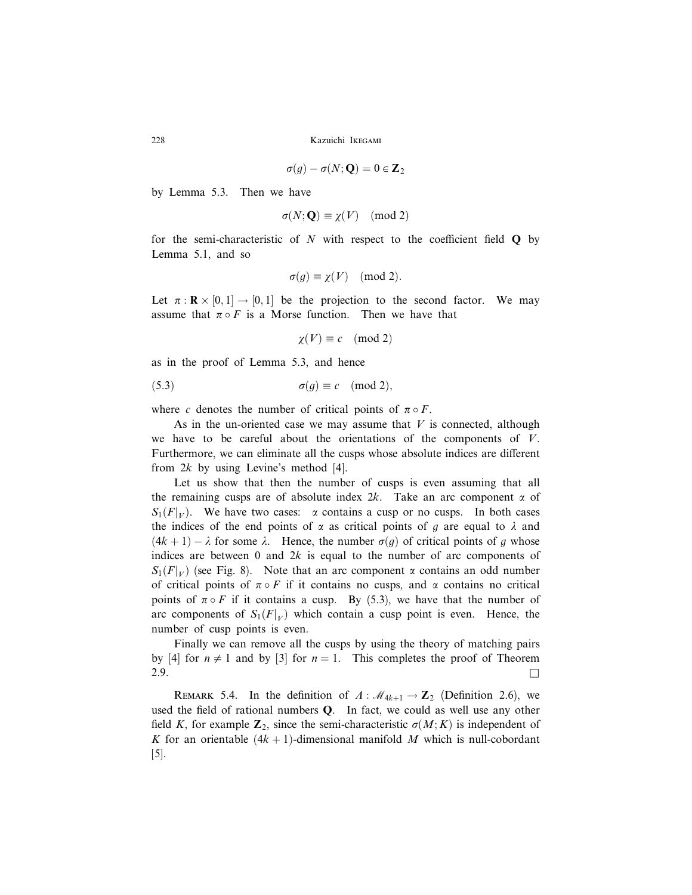$$
\sigma(g) - \sigma(N; \mathbf{Q}) = 0 \in \mathbf{Z}_2
$$

by Lemma 5.3. Then we have

$$
\sigma(N; \mathbf{Q}) \equiv \chi(V) \pmod{2}
$$

for the semi-characteristic of  $N$  with respect to the coefficient field  $Q$  by Lemma 5.1, and so

$$
\sigma(g) \equiv \chi(V) \pmod{2}.
$$

Let  $\pi : \mathbf{R} \times [0,1] \to [0,1]$  be the projection to the second factor. We may assume that  $\pi \circ F$  is a Morse function. Then we have that

$$
\chi(V) \equiv c \pmod{2}
$$

as in the proof of Lemma 5.3, and hence

(5.3) 
$$
\sigma(g) \equiv c \pmod{2},
$$

where c denotes the number of critical points of  $\pi \circ F$ .

As in the un-oriented case we may assume that  $V$  is connected, although we have to be careful about the orientations of the components of  $V$ . Furthermore, we can eliminate all the cusps whose absolute indices are different from  $2k$  by using Levine's method [4].

Let us show that then the number of cusps is even assuming that all the remaining cusps are of absolute index  $2k$ . Take an arc component  $\alpha$  of  $S_1(F|_V)$ . We have two cases:  $\alpha$  contains a cusp or no cusps. In both cases the indices of the end points of  $\alpha$  as critical points of g are equal to  $\lambda$  and  $(4k + 1) - \lambda$  for some  $\lambda$ . Hence, the number  $\sigma(g)$  of critical points of g whose indices are between 0 and  $2k$  is equal to the number of arc components of  $S_1(F|_V)$  (see Fig. 8). Note that an arc component  $\alpha$  contains an odd number of critical points of  $\pi \circ F$  if it contains no cusps, and  $\alpha$  contains no critical points of  $\pi \circ F$  if it contains a cusp. By (5.3), we have that the number of arc components of  $S_1(F|_V)$  which contain a cusp point is even. Hence, the number of cusp points is even.

Finally we can remove all the cusps by using the theory of matching pairs by [4] for  $n \neq 1$  and by [3] for  $n = 1$ . This completes the proof of Theorem 2.9.  $\Box$ 

REMARK 5.4. In the definition of  $\Lambda$ :  $\mathcal{M}_{4k+1} \to \mathbb{Z}_2$  (Definition 2.6), we used the field of rational numbers Q. In fact, we could as well use any other field K, for example  $\mathbb{Z}_2$ , since the semi-characteristic  $\sigma(M; K)$  is independent of K for an orientable  $(4k + 1)$ -dimensional manifold M which is null-cobordant [5].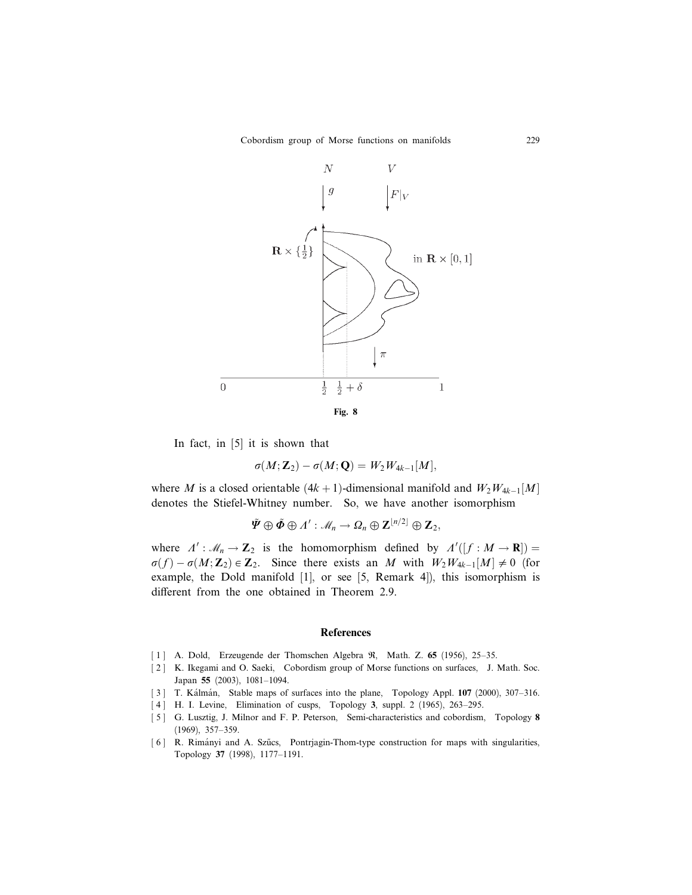

In fact, in [5] it is shown that

$$
\sigma(M;\hbox{\bf Z}_2)-\sigma(M;\hbox{\bf Q})=W_2W_{4k-1}[M],
$$

where M is a closed orientable  $(4k + 1)$ -dimensional manifold and  $W_2W_{4k-1}[M]$ denotes the Stiefel-Whitney number. So, we have another isomorphism

$$
\tilde{\mathbf{\Psi}} \oplus \tilde{\mathbf{\Phi}} \oplus \Lambda' : \mathcal{M}_n \to \Omega_n \oplus \mathbf{Z}^{\lfloor n/2 \rfloor} \oplus \mathbf{Z}_2,
$$

where  $\Lambda' : \mathcal{M}_n \to \mathbb{Z}_2$  is the homomorphism defined by  $\Lambda'([f : M \to \mathbb{R}]) =$  $\sigma(f) - \sigma(M; \mathbb{Z}_2) \in \mathbb{Z}_2$ . Since there exists an M with  $W_2W_{4k-1}[M] \neq 0$  (for example, the Dold manifold [1], or see [5, Remark 4]), this isomorphism is different from the one obtained in Theorem 2.9.

### References

- [ 1 ] A. Dold, Erzeugende der Thomschen Algebra R, Math. Z. 65 (1956), 25–35.
- [ 2 ] K. Ikegami and O. Saeki, Cobordism group of Morse functions on surfaces, J. Math. Soc. Japan 55 (2003), 1081–1094.
- [3] T. Kálmán, Stable maps of surfaces into the plane, Topology Appl. 107 (2000), 307-316.
- [4] H. I. Levine, Elimination of cusps, Topology 3, suppl. 2 (1965), 263-295.
- [5] G. Lusztig, J. Milnor and F. P. Peterson, Semi-characteristics and cobordism, Topology 8 (1969), 357–359.
- [6] R. Rimányi and A. Szűcs, Pontrjagin-Thom-type construction for maps with singularities, Topology 37 (1998), 1177–1191.